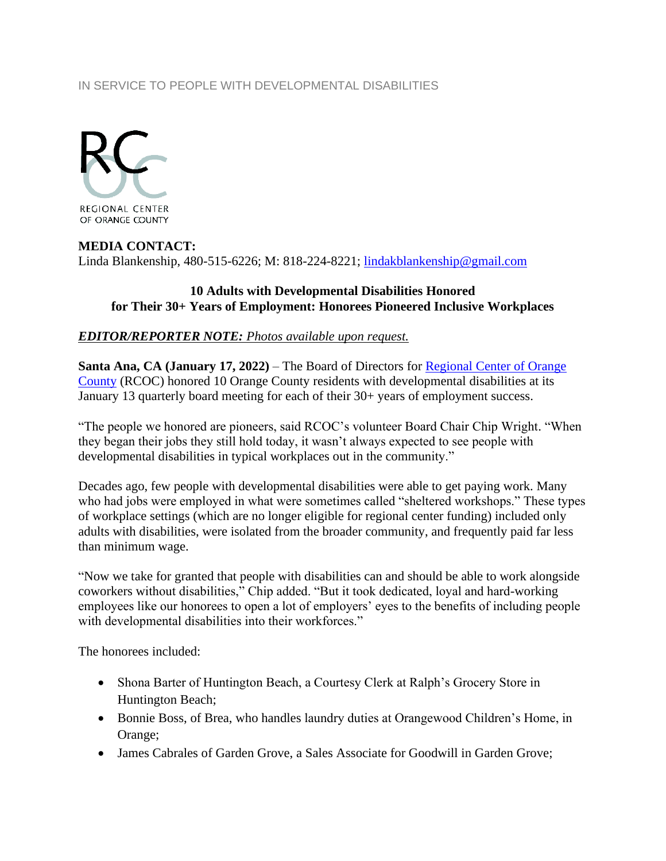## IN SERVICE TO PEOPLE WITH DEVELOPMENTAL DISABILITIES



## **MEDIA CONTACT:**

Linda Blankenship, 480-515-6226; M: 818-224-8221; [lindakblankenship@gmail.com](mailto:lindakblankenship@gmail.com)

## **10 Adults with Developmental Disabilities Honored for Their 30+ Years of Employment: Honorees Pioneered Inclusive Workplaces**

## *EDITOR/REPORTER NOTE: Photos available upon request.*

**Santa Ana, CA (January 17, 2022)** – The Board of Directors for [Regional Center of Orange](http://www.rcocdd.com/)  [County](http://www.rcocdd.com/) (RCOC) honored 10 Orange County residents with developmental disabilities at its January 13 quarterly board meeting for each of their 30+ years of employment success.

"The people we honored are pioneers, said RCOC's volunteer Board Chair Chip Wright. "When they began their jobs they still hold today, it wasn't always expected to see people with developmental disabilities in typical workplaces out in the community."

Decades ago, few people with developmental disabilities were able to get paying work. Many who had jobs were employed in what were sometimes called "sheltered workshops." These types of workplace settings (which are no longer eligible for regional center funding) included only adults with disabilities, were isolated from the broader community, and frequently paid far less than minimum wage.

"Now we take for granted that people with disabilities can and should be able to work alongside coworkers without disabilities," Chip added. "But it took dedicated, loyal and hard-working employees like our honorees to open a lot of employers' eyes to the benefits of including people with developmental disabilities into their workforces."

The honorees included:

- Shona Barter of Huntington Beach, a Courtesy Clerk at Ralph's Grocery Store in Huntington Beach;
- Bonnie Boss, of Brea, who handles laundry duties at Orangewood Children's Home, in Orange;
- James Cabrales of Garden Grove, a Sales Associate for Goodwill in Garden Grove;